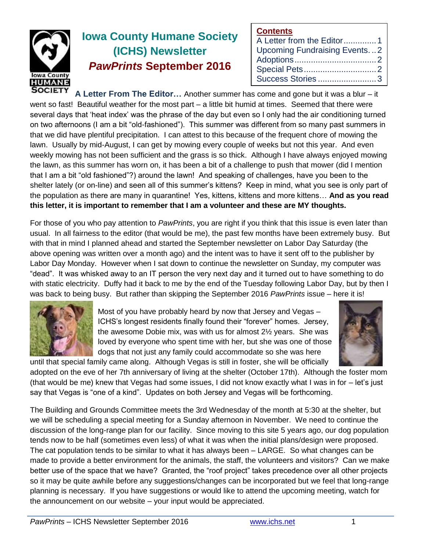

# **Iowa County Humane Society (ICHS) Newsletter** *PawPrints* **September 2016**

| <b>Contents</b>                     |  |
|-------------------------------------|--|
| A Letter from the Editor1           |  |
| <b>Upcoming Fundraising Events2</b> |  |
|                                     |  |
|                                     |  |
| Success Stories3                    |  |

**A Letter From The Editor…** Another summer has come and gone but it was a blur – it went so fast! Beautiful weather for the most part – a little bit humid at times. Seemed that there were several days that 'heat index' was the phrase of the day but even so I only had the air conditioning turned on two afternoons (I am a bit "old-fashioned"). This summer was different from so many past summers in that we did have plentiful precipitation. I can attest to this because of the frequent chore of mowing the lawn. Usually by mid-August, I can get by mowing every couple of weeks but not this year. And even weekly mowing has not been sufficient and the grass is so thick. Although I have always enjoyed mowing the lawn, as this summer has worn on, it has been a bit of a challenge to push that mower (did I mention that I am a bit "old fashioned"?) around the lawn! And speaking of challenges, have you been to the shelter lately (or on-line) and seen all of this summer's kittens? Keep in mind, what you see is only part of the population as there are many in quarantine! Yes, kittens, kittens and more kittens… **And as you read this letter, it is important to remember that I am a volunteer and these are MY thoughts.**

For those of you who pay attention to *PawPrints*, you are right if you think that this issue is even later than usual. In all fairness to the editor (that would be me), the past few months have been extremely busy. But with that in mind I planned ahead and started the September newsletter on Labor Day Saturday (the above opening was written over a month ago) and the intent was to have it sent off to the publisher by Labor Day Monday. However when I sat down to continue the newsletter on Sunday, my computer was "dead". It was whisked away to an IT person the very next day and it turned out to have something to do with static electricity. Duffy had it back to me by the end of the Tuesday following Labor Day, but by then I was back to being busy. But rather than skipping the September 2016 *PawPrints* issue – here it is!



Most of you have probably heard by now that Jersey and Vegas – ICHS's longest residents finally found their "forever" homes. Jersey, the awesome Dobie mix, was with us for almost 2½ years. She was loved by everyone who spent time with her, but she was one of those dogs that not just any family could accommodate so she was here



until that special family came along. Although Vegas is still in foster, she will be officially adopted on the eve of her 7th anniversary of living at the shelter (October 17th). Although the foster mom (that would be me) knew that Vegas had some issues, I did not know exactly what I was in for – let's just say that Vegas is "one of a kind". Updates on both Jersey and Vegas will be forthcoming.

The Building and Grounds Committee meets the 3rd Wednesday of the month at 5:30 at the shelter, but we will be scheduling a special meeting for a Sunday afternoon in November. We need to continue the discussion of the long-range plan for our facility. Since moving to this site 5 years ago, our dog population tends now to be half (sometimes even less) of what it was when the initial plans/design were proposed. The cat population tends to be similar to what it has always been – LARGE. So what changes can be made to provide a better environment for the animals, the staff, the volunteers and visitors? Can we make better use of the space that we have? Granted, the "roof project" takes precedence over all other projects so it may be quite awhile before any suggestions/changes can be incorporated but we feel that long-range planning is necessary. If you have suggestions or would like to attend the upcoming meeting, watch for the announcement on our website – your input would be appreciated.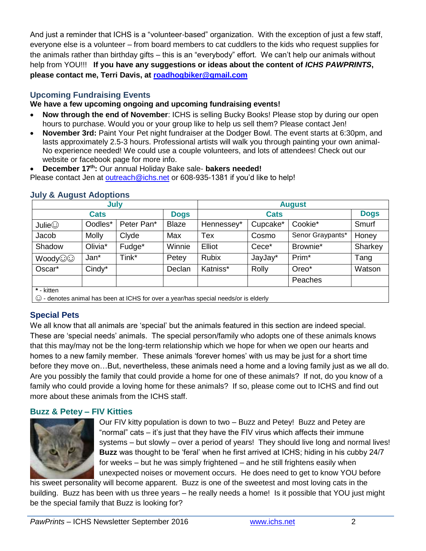And just a reminder that ICHS is a "volunteer-based" organization. With the exception of just a few staff, everyone else is a volunteer – from board members to cat cuddlers to the kids who request supplies for the animals rather than birthday gifts – this is an "everybody" effort. We can't help our animals without help from YOU!!! **If you have any suggestions or ideas about the content of** *ICHS PAWPRINTS***, please contact me, Terri Davis, at [roadhogbiker@gmail.com](mailto:roadhogbiker@gmail.com)**

## **Upcoming Fundraising Events**

### **We have a few upcoming ongoing and upcoming fundraising events!**

- **Now through the end of November**: ICHS is selling Bucky Books! Please stop by during our open hours to purchase. Would you or your group like to help us sell them? Please contact Jen!
- **November 3rd:** Paint Your Pet night fundraiser at the Dodger Bowl. The event starts at 6:30pm, and lasts approximately 2.5-3 hours. Professional artists will walk you through painting your own animal-No experience needed! We could use a couple volunteers, and lots of attendees! Check out our website or facebook page for more info.
- **December 17th:** Our annual Holiday Bake sale- **bakers needed!**

Please contact Jen at [outreach@ichs.net](mailto:outreach@ichs.net) or 608-935-1381 if you'd like to help!

| July                                                                                |              |            |              | <b>August</b> |          |                   |             |  |  |
|-------------------------------------------------------------------------------------|--------------|------------|--------------|---------------|----------|-------------------|-------------|--|--|
| <b>Cats</b>                                                                         |              |            | <b>Dogs</b>  | <b>Cats</b>   |          |                   | <b>Dogs</b> |  |  |
| Julie $\odot$                                                                       | Oodles*      | Peter Pan* | <b>Blaze</b> | Hennessey*    | Cupcake* | Cookie*           | Smurf       |  |  |
| Jacob                                                                               | <b>Molly</b> | Clyde      | Max          | <b>Tex</b>    | Cosmo    | Senor Graypants*  | Honey       |  |  |
| Shadow                                                                              | Olivia*      | Fudge*     | Winnie       | Elliot        | Cece*    | Brownie*          | Sharkey     |  |  |
| Woody <sup>O</sup>                                                                  | Jan*         | Tink*      | Petey        | <b>Rubix</b>  | JayJay*  | Prim <sup>*</sup> | Tang        |  |  |
| Oscar*                                                                              | Cindy*       |            | Declan       | Katniss*      | Rolly    | Oreo*             | Watson      |  |  |
|                                                                                     |              |            |              |               |          | Peaches           |             |  |  |
| * - kitten                                                                          |              |            |              |               |          |                   |             |  |  |
| © - denotes animal has been at ICHS for over a year/has special needs/or is elderly |              |            |              |               |          |                   |             |  |  |

### **July & August Adoptions**

# **Special Pets**

We all know that all animals are 'special' but the animals featured in this section are indeed special. These are 'special needs' animals. The special person/family who adopts one of these animals knows that this may/may not be the long-term relationship which we hope for when we open our hearts and homes to a new family member. These animals 'forever homes' with us may be just for a short time before they move on…But, nevertheless, these animals need a home and a loving family just as we all do. Are you possibly the family that could provide a home for one of these animals? If not, do you know of a family who could provide a loving home for these animals? If so, please come out to ICHS and find out more about these animals from the ICHS staff.

### **Buzz & Petey – FIV Kitties**



Our FIV kitty population is down to two – Buzz and Petey! Buzz and Petey are "normal" cats – it's just that they have the FIV virus which affects their immune systems – but slowly – over a period of years! They should live long and normal lives! **Buzz** was thought to be 'feral' when he first arrived at ICHS; hiding in his cubby 24/7 for weeks – but he was simply frightened – and he still frightens easily when unexpected noises or movement occurs. He does need to get to know YOU before

his sweet personality will become apparent. Buzz is one of the sweetest and most loving cats in the building. Buzz has been with us three years – he really needs a home! Is it possible that YOU just might be the special family that Buzz is looking for?